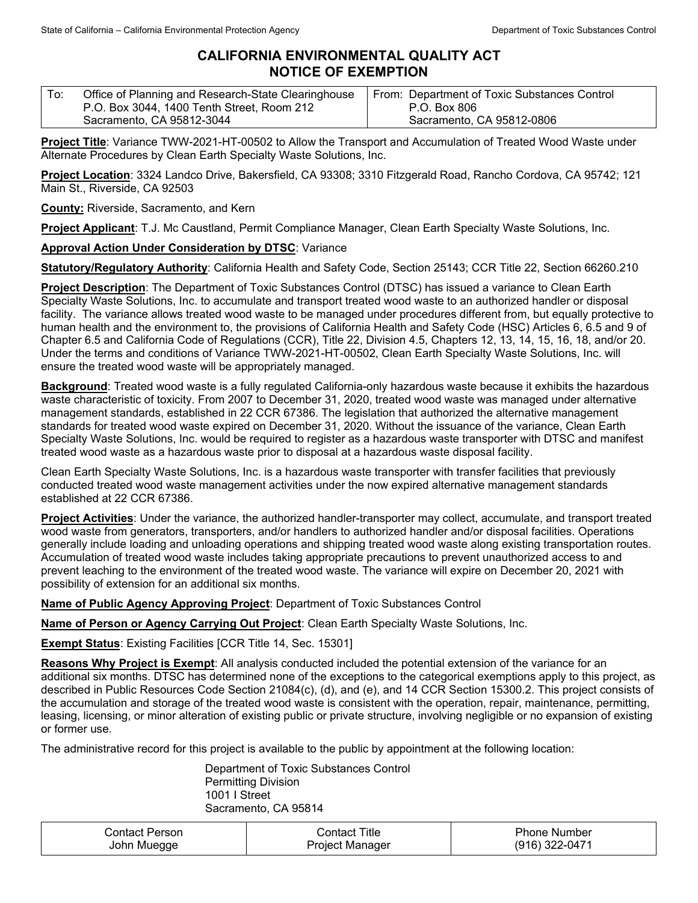## **CALIFORNIA ENVIRONMENTAL QUALITY ACT NOTICE OF EXEMPTION**

| To: | Office of Planning and Research-State Clearinghouse | From: Department of Toxic Substances Control |
|-----|-----------------------------------------------------|----------------------------------------------|
|     | P.O. Box 3044, 1400 Tenth Street, Room 212          | P.O. Box 806                                 |
|     | Sacramento, CA 95812-3044                           | Sacramento, CA 95812-0806                    |

**Project Title**: Variance TWW-2021-HT-00502 to Allow the Transport and Accumulation of Treated Wood Waste under Alternate Procedures by Clean Earth Specialty Waste Solutions, Inc.

**Project Location**: 3324 Landco Drive, Bakersfield, CA 93308; 3310 Fitzgerald Road, Rancho Cordova, CA 95742; 121 Main St., Riverside, CA 92503

**County:** Riverside, Sacramento, and Kern

**Project Applicant**: T.J. Mc Caustland, Permit Compliance Manager, Clean Earth Specialty Waste Solutions, Inc.

## **Approval Action Under Consideration by DTSC**: Variance

**Statutory/Regulatory Authority**: California Health and Safety Code, Section 25143; CCR Title 22, Section 66260.210

**Project Description**: The Department of Toxic Substances Control (DTSC) has issued a variance to Clean Earth Specialty Waste Solutions, Inc. to accumulate and transport treated wood waste to an authorized handler or disposal facility. The variance allows treated wood waste to be managed under procedures different from, but equally protective to human health and the environment to, the provisions of California Health and Safety Code (HSC) Articles 6, 6.5 and 9 of Chapter 6.5 and California Code of Regulations (CCR), Title 22, Division 4.5, Chapters 12, 13, 14, 15, 16, 18, and/or 20. Under the terms and conditions of Variance TWW-2021-HT-00502, Clean Earth Specialty Waste Solutions, Inc. will ensure the treated wood waste will be appropriately managed.

**Background**: Treated wood waste is a fully regulated California-only hazardous waste because it exhibits the hazardous waste characteristic of toxicity. From 2007 to December 31, 2020, treated wood waste was managed under alternative management standards, established in 22 CCR 67386. The legislation that authorized the alternative management standards for treated wood waste expired on December 31, 2020. Without the issuance of the variance, Clean Earth Specialty Waste Solutions, Inc. would be required to register as a hazardous waste transporter with DTSC and manifest treated wood waste as a hazardous waste prior to disposal at a hazardous waste disposal facility.

Clean Earth Specialty Waste Solutions, Inc. is a hazardous waste transporter with transfer facilities that previously conducted treated wood waste management activities under the now expired alternative management standards established at 22 CCR 67386.

**Project Activities**: Under the variance, the authorized handler-transporter may collect, accumulate, and transport treated wood waste from generators, transporters, and/or handlers to authorized handler and/or disposal facilities. Operations generally include loading and unloading operations and shipping treated wood waste along existing transportation routes. Accumulation of treated wood waste includes taking appropriate precautions to prevent unauthorized access to and prevent leaching to the environment of the treated wood waste. The variance will expire on December 20, 2021 with possibility of extension for an additional six months.

**Name of Public Agency Approving Project**: Department of Toxic Substances Control

**Name of Person or Agency Carrying Out Project**: Clean Earth Specialty Waste Solutions, Inc.

**Exempt Status**: Existing Facilities [CCR Title 14, Sec. 15301]

**Reasons Why Project is Exempt**: All analysis conducted included the potential extension of the variance for an additional six months. DTSC has determined none of the exceptions to the categorical exemptions apply to this project, as described in Public Resources Code Section 21084(c), (d), and (e), and 14 CCR Section 15300.2. This project consists of the accumulation and storage of the treated wood waste is consistent with the operation, repair, maintenance, permitting, leasing, licensing, or minor alteration of existing public or private structure, involving negligible or no expansion of existing or former use.

The administrative record for this project is available to the public by appointment at the following location:

Department of Toxic Substances Control Permitting Division 1001 I Street Sacramento, CA 95814

| Contact Person | Contact Title   | <b>Phone Number</b> |
|----------------|-----------------|---------------------|
| John Muegge    | Project Manager | (916) 322-0471      |